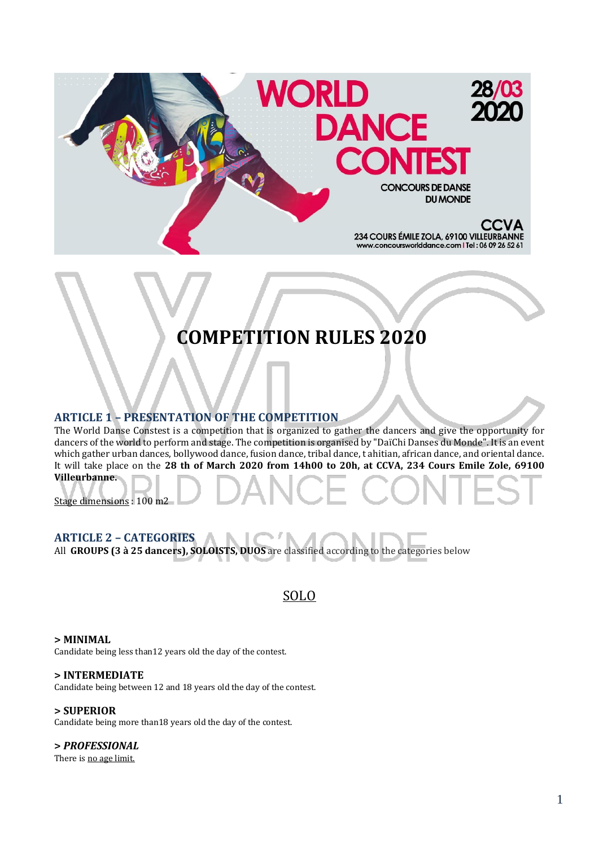

# **COMPETITION RULES 2020**

#### **ARTICLE 1 – PRESENTATION OF THE COMPETITION**

The World Danse Constest is a competition that is organized to gather the dancers and give the opportunity for dancers of the world to perform and stage. The competition is organised by "DaïChi Danses du Monde". It is an event which gather urban dances, bollywood dance, fusion dance, tribal dance, t ahitian, african dance, and oriental dance. It will take place on the **28 th of March 2020 from 14h00 to 20h, at CCVA, 234 Cours Emile Zole, 69100 Villeurbanne.** 

Stage dimensions : 100 m2

#### **ARTICLE 2 – CATEGORIES**

All **GROUPS (3 à 25 dancers), SOLOISTS, DUOS** are classified according to the categories below

### SOLO

#### **> MINIMAL**

Candidate being less than12 years old the day of the contest.

#### **> INTERMEDIATE**

Candidate being between 12 and 18 years old the day of the contest.

#### **> SUPERIOR**

Candidate being more than18 years old the day of the contest.

#### **>** *PROFESSIONAL*

There is no age limit.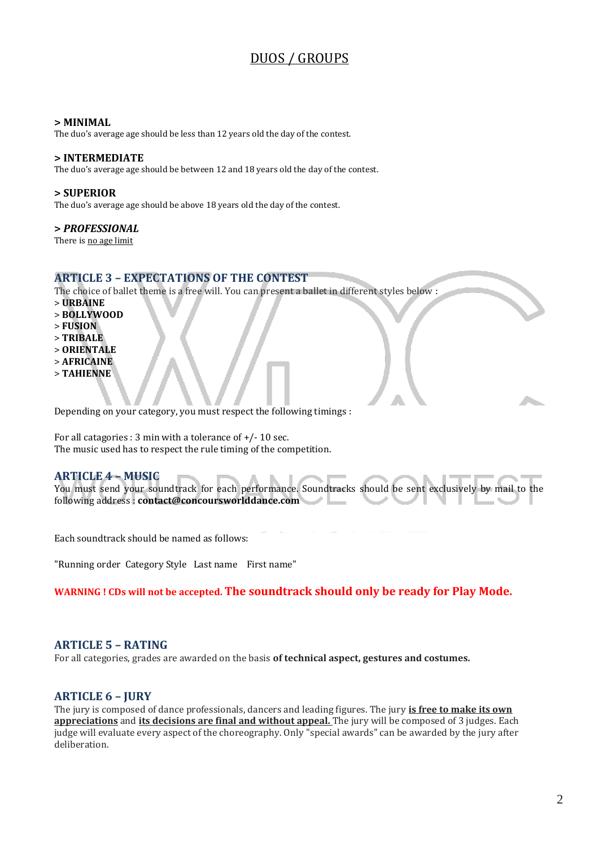# DUOS / GROUPS

#### **> MINIMAL**

The duo's average age should be less than 12 years old the day of the contest.

#### **> INTERMEDIATE**

The duo's average age should be between 12 and 18 years old the day of the contest.

#### **> SUPERIOR**

The duo's average age should be above 18 years old the day of the contest.

#### **>** *PROFESSIONAL*

There is no age limit

#### **ARTICLE 3 – EXPECTATIONS OF THE CONTEST**

The choice of ballet theme is a free will. You can present a ballet in different styles below :

- > **URBAINE**
- > **BOLLYWOOD**
- > **FUSION**
- > **TRIBALE**
- > **ORIENTALE**
- > **AFRICAINE**
- > **TAHIENNE**

Depending on your category, you must respect the following timings :

For all catagories : 3 min with a tolerance of +/- 10 sec. The music used has to respect the rule timing of the competition.

#### **ARTICLE 4 – MUSIC**

You must send your soundtrack for each performance. Soundtracks should be sent exclusively by mail to the following address : **contact@concoursworlddance.com**

Each soundtrack should be named as follows:

"Running order Category Style Last name First name"

#### **WARNING ! CDs will not be accepted. The soundtrack should only be ready for Play Mode.**

#### **ARTICLE 5 – RATING**

For all categories, grades are awarded on the basis **of technical aspect, gestures and costumes.**

#### **ARTICLE 6 – JURY**

The jury is composed of dance professionals, dancers and leading figures. The jury **is free to make its own appreciations** and **its decisions are final and without appeal.** The jury will be composed of 3 judges. Each judge will evaluate every aspect of the choreography. Only "special awards" can be awarded by the jury after deliberation.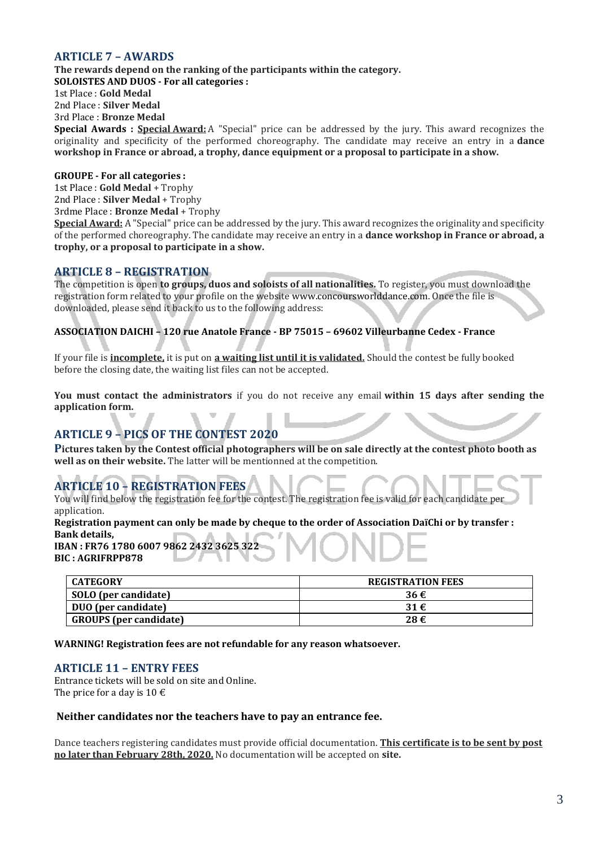#### **ARTICLE 7 – AWARDS**

**The rewards depend on the ranking of the participants within the category.**

**SOLOISTES AND DUOS - For all categories :**  1st Place : **Gold Medal**

2nd Place : **Silver Medal**

3rd Place : **Bronze Medal**

**Special Awards : Special Award:** A "Special" price can be addressed by the jury. This award recognizes the originality and specificity of the performed choreography. The candidate may receive an entry in a **dance workshop in France or abroad, a trophy, dance equipment or a proposal to participate in a show.**

#### **GROUPE - For all categories :**

1st Place : **Gold Medal** + Trophy 2nd Place : **Silver Medal** + Trophy 3rdme Place : **Bronze Medal** + Trophy

**Special Award:** A "Special" price can be addressed by the jury. This award recognizes the originality and specificity of the performed choreography. The candidate may receive an entry in a **dance workshop in France or abroad, a trophy, or a proposal to participate in a show.**

#### **ARTICLE 8 – REGISTRATION**

The competition is open **to groups, duos and soloists of all nationalities.** To register, you must download the registration form related to your profile on the website www.concoursworlddance.com. Once the file is downloaded, please send it back to us to the following address:

#### **ASSOCIATION DAICHI – 120 rue Anatole France - BP 75015 – 69602 Villeurbanne Cedex - France**

If your file is **incomplete,** it is put on **a waiting list until it is validated.** Should the contest be fully booked before the closing date, the waiting list files can not be accepted.

**You must contact the administrators** if you do not receive any email **within 15 days after sending the application form.**

## **ARTICLE 9 – PICS OF THE CONTEST 2020**

**Pictures taken by the Contest official photographers will be on sale directly at the contest photo booth as well as on their website.** The latter will be mentionned at the competition.

# **ARTICLE 10 – REGISTRATION FEES**

You will find below the registration fee for the contest. The registration fee is valid for each candidate per application.

**Registration payment can only be made by cheque to the order of Association DaïChi or by transfer : Bank details,**

**IBAN : FR76 1780 6007 9862 2432 3625 322 BIC : AGRIFRPP878** 

| <b>CATEGORY</b>               | <b>REGISTRATION FEES</b> |
|-------------------------------|--------------------------|
| SOLO (per candidate)          | 36€                      |
| DUO (per candidate)           | 31€                      |
| <b>GROUPS</b> (per candidate) | 28€                      |

**WARNING! Registration fees are not refundable for any reason whatsoever.**

#### **ARTICLE 11 – ENTRY FEES**

Entrance tickets will be sold on site and Online. The price for a day is  $10 \text{ } \in$ 

#### **Neither candidates nor the teachers have to pay an entrance fee.**

Dance teachers registering candidates must provide official documentation. **This certificate is to be sent by post no later than February 28th, 2020.** No documentation will be accepted on **site.**